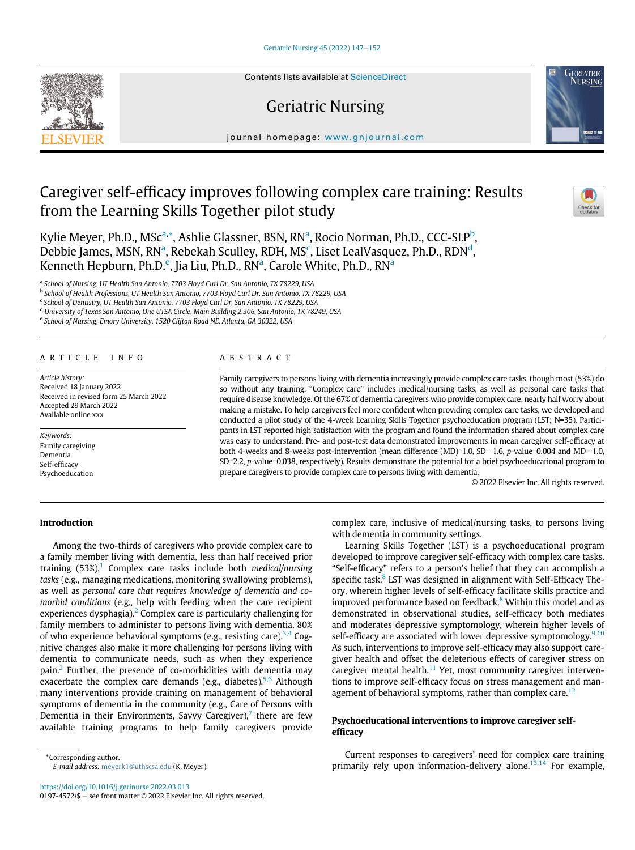# [Geriatric Nursing 45 \(2022\) 147](https://doi.org/10.1016/j.gerinurse.2022.03.013)-[152](https://doi.org/10.1016/j.gerinurse.2022.03.013)



# Geriatric Nursing

journal homepage: [www.gnjournal.com](http://www.gnjournal.com)

# Caregiver self-efficacy improves following complex care training: Results from the Learning Skills Together pilot study



**GERIATRIC**<br>NURSING

Kylie Meyer, Ph.D., MSc<sup>[a](#page-0-0),[\\*](#page-0-1)</sup>, Ashlie Glassner, BSN, RN<sup>a</sup>, Rocio Norman, Ph.D., CCC-SLP<sup>[b](#page-0-2)</sup>, Debbie J[a](#page-0-0)mes, MSN, RN<sup>a</sup>, Rebekah S[c](#page-0-3)ulley, RDH, MS<sup>c</sup>, Liset LealVasquez, Ph.D., RDN<sup>d</sup>, K[e](#page-0-5)nneth Hepburn, Ph.D.<sup>e</sup>, Ji[a](#page-0-0) Liu, Ph.D., RN<sup>a</sup>, Carole White, Ph.D., RN<sup>a</sup>

<span id="page-0-0"></span><sup>a</sup> School of Nursing, UT Health San Antonio, 7703 Floyd Curl Dr, San Antonio, TX 78229, USA

<span id="page-0-2"></span><sup>b</sup> School of Health Professions, UT Health San Antonio, 7703 Floyd Curl Dr, San Antonio, TX 78229, USA

<span id="page-0-3"></span><sup>c</sup> School of Dentistry, UT Health San Antonio, 7703 Floyd Curl Dr, San Antonio, TX 78229, USA

<span id="page-0-5"></span><span id="page-0-4"></span><sup>d</sup> University of Texas San Antonio, One UTSA Circle, Main Building 2.306, San Antonio, TX 78249, USA

<sup>e</sup> School of Nursing, Emory University, 1520 Clifton Road NE, Atlanta, GA 30322, USA

## ARTICLE INFO

Article history: Received 18 January 2022 Received in revised form 25 March 2022 Accepted 29 March 2022 Available online xxx

Keywords: Family caregiving Dementia Self-efficacy Psychoeducation

## ABSTRACT

Family caregivers to persons living with dementia increasingly provide complex care tasks, though most (53%) do so without any training. "Complex care" includes medical/nursing tasks, as well as personal care tasks that require disease knowledge. Of the 67% of dementia caregivers who provide complex care, nearly half worry about making a mistake. To help caregivers feel more confident when providing complex care tasks, we developed and conducted a pilot study of the 4-week Learning Skills Together psychoeducation program (LST; N=35). Participants in LST reported high satisfaction with the program and found the information shared about complex care was easy to understand. Pre- and post-test data demonstrated improvements in mean caregiver self-efficacy at both 4-weeks and 8-weeks post-intervention (mean difference (MD)=1.0, SD= 1.6, p-value=0.004 and MD= 1.0, SD=2.2, p-value=0.038, respectively). Results demonstrate the potential for a brief psychoeducational program to prepare caregivers to provide complex care to persons living with dementia.

© 2022 Elsevier Inc. All rights reserved.

## Introduction

Among the two-thirds of caregivers who provide complex care to a family member living with dementia, less than half received prior training  $(53\%)$ <sup>[1](#page-5-0)</sup> Complex care tasks include both *medical/nursing* tasks (e.g., managing medications, monitoring swallowing problems), as well as personal care that requires knowledge of dementia and comorbid conditions (e.g., help with feeding when the care recipient experiences dysphagia).<sup>[2](#page-5-1)</sup> Complex care is particularly challenging for family members to administer to persons living with dementia, 80% of who experience behavioral symptoms (e.g., resisting care). $3,4$  $3,4$  Cognitive changes also make it more challenging for persons living with dementia to communicate needs, such as when they experience  $pain.<sup>2</sup>$  $pain.<sup>2</sup>$  $pain.<sup>2</sup>$  Further, the presence of co-morbidities with dementia may exacerbate the complex care demands (e.g., diabetes).<sup>[5,](#page-5-4)[6](#page-5-5)</sup> Although many interventions provide training on management of behavioral symptoms of dementia in the community (e.g., Care of Persons with Dementia in their Environments, Savvy Caregiver), $\ell$  there are few available training programs to help family caregivers provide complex care, inclusive of medical/nursing tasks, to persons living with dementia in community settings.

Learning Skills Together (LST) is a psychoeducational program developed to improve caregiver self-efficacy with complex care tasks. "Self-efficacy" refers to a person's belief that they can accomplish a specific task.<sup>8</sup> LST was designed in alignment with Self-Efficacy Theory, wherein higher levels of self-efficacy facilitate skills practice and improved performance based on feedback.<sup>[8](#page-5-7)</sup> Within this model and as demonstrated in observational studies, self-efficacy both mediates and moderates depressive symptomology, wherein higher levels of self-efficacy are associated with lower depressive symptomology.<sup>[9,](#page-5-8)[10](#page-5-9)</sup> As such, interventions to improve self-efficacy may also support caregiver health and offset the deleterious effects of caregiver stress on caregiver mental health. $11$  Yet, most community caregiver interventions to improve self-efficacy focus on stress management and man-agement of behavioral symptoms, rather than complex care.<sup>[12](#page-5-11)</sup>

# Psychoeducational interventions to improve caregiver selfefficacy

Current responses to caregivers' need for complex care training primarily rely upon information-delivery alone.<sup>[13](#page-5-12)[,14](#page-5-13)</sup> For example,

<span id="page-0-1"></span><sup>\*</sup>Corresponding author. E-mail address: [meyerk1@uthscsa.edu](mailto:meyerk1@uthscsa.edu) (K. Meyer).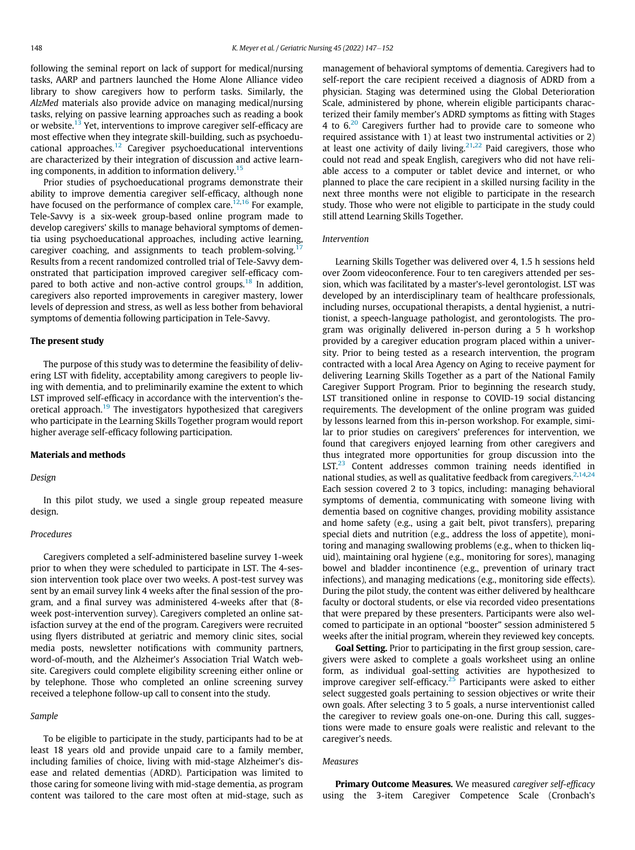following the seminal report on lack of support for medical/nursing tasks, AARP and partners launched the Home Alone Alliance video library to show caregivers how to perform tasks. Similarly, the AlzMed materials also provide advice on managing medical/nursing tasks, relying on passive learning approaches such as reading a book or website.<sup>[13](#page-5-12)</sup> Yet, interventions to improve caregiver self-efficacy are most effective when they integrate skill-building, such as psychoeducational approaches.[12](#page-5-11) Caregiver psychoeducational interventions are characterized by their integration of discussion and active learn-ing components, in addition to information delivery.<sup>[15](#page-5-14)</sup>

Prior studies of psychoeducational programs demonstrate their ability to improve dementia caregiver self-efficacy, although none have focused on the performance of complex care. $12,16$  $12,16$  $12,16$  For example, Tele-Savvy is a six-week group-based online program made to develop caregivers' skills to manage behavioral symptoms of dementia using psychoeducational approaches, including active learning, caregiver coaching, and assignments to teach problem-solving.<sup>1</sup> Results from a recent randomized controlled trial of Tele-Savvy demonstrated that participation improved caregiver self-efficacy compared to both active and non-active control groups. $18$  In addition, caregivers also reported improvements in caregiver mastery, lower levels of depression and stress, as well as less bother from behavioral symptoms of dementia following participation in Tele-Savvy.

# The present study

The purpose of this study was to determine the feasibility of delivering LST with fidelity, acceptability among caregivers to people living with dementia, and to preliminarily examine the extent to which LST improved self-efficacy in accordance with the intervention's theoretical approach.[19](#page-5-18) The investigators hypothesized that caregivers who participate in the Learning Skills Together program would report higher average self-efficacy following participation.

#### Materials and methods

## Design

In this pilot study, we used a single group repeated measure design.

## Procedures

Caregivers completed a self-administered baseline survey 1-week prior to when they were scheduled to participate in LST. The 4-session intervention took place over two weeks. A post-test survey was sent by an email survey link 4 weeks after the final session of the program, and a final survey was administered 4-weeks after that (8 week post-intervention survey). Caregivers completed an online satisfaction survey at the end of the program. Caregivers were recruited using flyers distributed at geriatric and memory clinic sites, social media posts, newsletter notifications with community partners, word-of-mouth, and the Alzheimer's Association Trial Watch website. Caregivers could complete eligibility screening either online or by telephone. Those who completed an online screening survey received a telephone follow-up call to consent into the study.

### Sample

To be eligible to participate in the study, participants had to be at least 18 years old and provide unpaid care to a family member, including families of choice, living with mid-stage Alzheimer's disease and related dementias (ADRD). Participation was limited to those caring for someone living with mid-stage dementia, as program content was tailored to the care most often at mid-stage, such as management of behavioral symptoms of dementia. Caregivers had to self-report the care recipient received a diagnosis of ADRD from a physician. Staging was determined using the Global Deterioration Scale, administered by phone, wherein eligible participants characterized their family member's ADRD symptoms as fitting with Stages 4 to 6.[20](#page-5-19) Caregivers further had to provide care to someone who required assistance with 1) at least two instrumental activities or 2) at least one activity of daily living.<sup>[21](#page-5-20)[,22](#page-5-21)</sup> Paid caregivers, those who could not read and speak English, caregivers who did not have reliable access to a computer or tablet device and internet, or who planned to place the care recipient in a skilled nursing facility in the next three months were not eligible to participate in the research study. Those who were not eligible to participate in the study could still attend Learning Skills Together.

## Intervention

Learning Skills Together was delivered over 4, 1.5 h sessions held over Zoom videoconference. Four to ten caregivers attended per session, which was facilitated by a master's-level gerontologist. LST was developed by an interdisciplinary team of healthcare professionals, including nurses, occupational therapists, a dental hygienist, a nutritionist, a speech-language pathologist, and gerontologists. The program was originally delivered in-person during a 5 h workshop provided by a caregiver education program placed within a university. Prior to being tested as a research intervention, the program contracted with a local Area Agency on Aging to receive payment for delivering Learning Skills Together as a part of the National Family Caregiver Support Program. Prior to beginning the research study, LST transitioned online in response to COVID-19 social distancing requirements. The development of the online program was guided by lessons learned from this in-person workshop. For example, similar to prior studies on caregivers' preferences for intervention, we found that caregivers enjoyed learning from other caregivers and thus integrated more opportunities for group discussion into the LST.<sup>23</sup> Content addresses common training needs identified in national studies, as well as qualitative feedback from caregivers.<sup>[2,](#page-5-1)[14](#page-5-13)[,24](#page-5-23)</sup> Each session covered 2 to 3 topics, including: managing behavioral symptoms of dementia, communicating with someone living with dementia based on cognitive changes, providing mobility assistance and home safety (e.g., using a gait belt, pivot transfers), preparing special diets and nutrition (e.g., address the loss of appetite), monitoring and managing swallowing problems (e.g., when to thicken liquid), maintaining oral hygiene (e.g., monitoring for sores), managing bowel and bladder incontinence (e.g., prevention of urinary tract infections), and managing medications (e.g., monitoring side effects). During the pilot study, the content was either delivered by healthcare faculty or doctoral students, or else via recorded video presentations that were prepared by these presenters. Participants were also welcomed to participate in an optional "booster" session administered 5 weeks after the initial program, wherein they reviewed key concepts.

Goal Setting. Prior to participating in the first group session, caregivers were asked to complete a goals worksheet using an online form, as individual goal-setting activities are hypothesized to improve caregiver self-efficacy.<sup>[25](#page-5-24)</sup> Participants were asked to either select suggested goals pertaining to session objectives or write their own goals. After selecting 3 to 5 goals, a nurse interventionist called the caregiver to review goals one-on-one. During this call, suggestions were made to ensure goals were realistic and relevant to the caregiver's needs.

# Measures

Primary Outcome Measures. We measured caregiver self-efficacy using the 3-item Caregiver Competence Scale (Cronbach's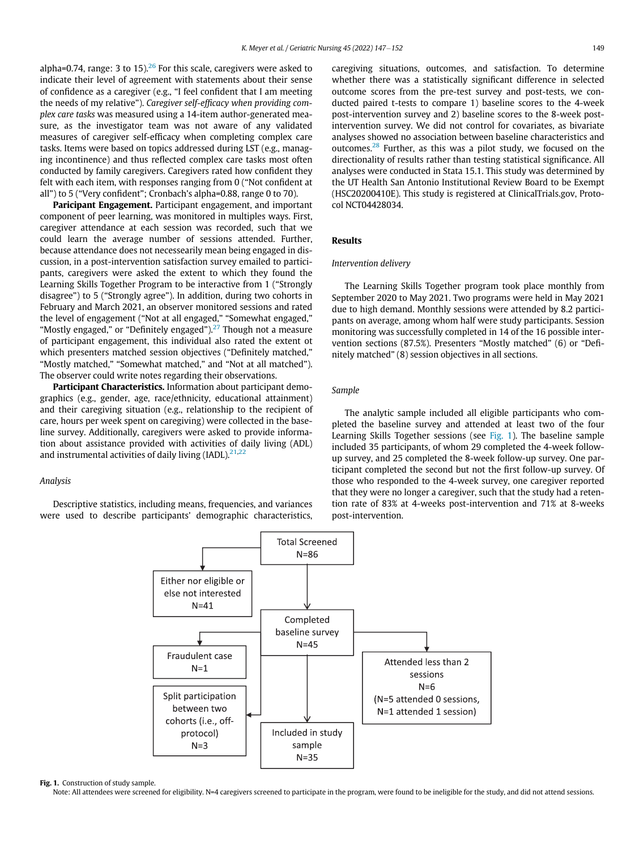alpha=0.74, range: 3 to 15). $^{26}$  $^{26}$  $^{26}$  For this scale, caregivers were asked to indicate their level of agreement with statements about their sense of confidence as a caregiver (e.g., "I feel confident that I am meeting the needs of my relative"). Caregiver self-efficacy when providing complex care tasks was measured using a 14-item author-generated measure, as the investigator team was not aware of any validated measures of caregiver self-efficacy when completing complex care tasks. Items were based on topics addressed during LST (e.g., managing incontinence) and thus reflected complex care tasks most often conducted by family caregivers. Caregivers rated how confident they felt with each item, with responses ranging from 0 ("Not confident at all") to 5 ("Very confident"; Cronbach's alpha=0.88, range 0 to 70).

Paricipant Engagement. Participant engagement, and important component of peer learning, was monitored in multiples ways. First, caregiver attendance at each session was recorded, such that we could learn the average number of sessions attended. Further, because attendance does not necessearily mean being engaged in discussion, in a post-intervention satisfaction survey emailed to participants, caregivers were asked the extent to which they found the Learning Skills Together Program to be interactive from 1 ("Strongly disagree") to 5 ("Strongly agree"). In addition, during two cohorts in February and March 2021, an observer monitored sessions and rated the level of engagement ("Not at all engaged," "Somewhat engaged," "Mostly engaged," or "Definitely engaged"). $27$  Though not a measure of participant engagement, this individual also rated the extent ot which presenters matched session objectives ("Definitely matched," "Mostly matched," "Somewhat matched," and "Not at all matched"). The observer could write notes regarding their observations.

Participant Characteristics. Information about participant demographics (e.g., gender, age, race/ethnicity, educational attainment) and their caregiving situation (e.g., relationship to the recipient of care, hours per week spent on caregiving) were collected in the baseline survey. Additionally, caregivers were asked to provide information about assistance provided with activities of daily living (ADL) and instrumental activities of daily living (IADL). $21,22$  $21,22$  $21,22$ 

## Analysis

<span id="page-2-0"></span>Descriptive statistics, including means, frequencies, and variances were used to describe participants' demographic characteristics, caregiving situations, outcomes, and satisfaction. To determine whether there was a statistically significant difference in selected outcome scores from the pre-test survey and post-tests, we conducted paired t-tests to compare 1) baseline scores to the 4-week post-intervention survey and 2) baseline scores to the 8-week postintervention survey. We did not control for covariates, as bivariate analyses showed no association between baseline characteristics and outcomes.[28](#page-5-27) Further, as this was a pilot study, we focused on the directionality of results rather than testing statistical significance. All analyses were conducted in Stata 15.1. This study was determined by the UT Health San Antonio Institutional Review Board to be Exempt (HSC20200410E). This study is registered at ClinicalTrials.gov, Protocol NCT04428034.

# Results

## Intervention delivery

The Learning Skills Together program took place monthly from September 2020 to May 2021. Two programs were held in May 2021 due to high demand. Monthly sessions were attended by 8.2 participants on average, among whom half were study participants. Session monitoring was successfully completed in 14 of the 16 possible intervention sections (87.5%). Presenters "Mostly matched" (6) or "Definitely matched" (8) session objectives in all sections.

## Sample

The analytic sample included all eligible participants who completed the baseline survey and attended at least two of the four Learning Skills Together sessions (see [Fig. 1](#page-2-0)). The baseline sample included 35 participants, of whom 29 completed the 4-week followup survey, and 25 completed the 8-week follow-up survey. One participant completed the second but not the first follow-up survey. Of those who responded to the 4-week survey, one caregiver reported that they were no longer a caregiver, such that the study had a retention rate of 83% at 4-weeks post-intervention and 71% at 8-weeks post-intervention.



#### Fig. 1. Construction of study sample.

Note: All attendees were screened for eligibility. N=4 caregivers screened to participate in the program, were found to be ineligible for the study, and did not attend sessions.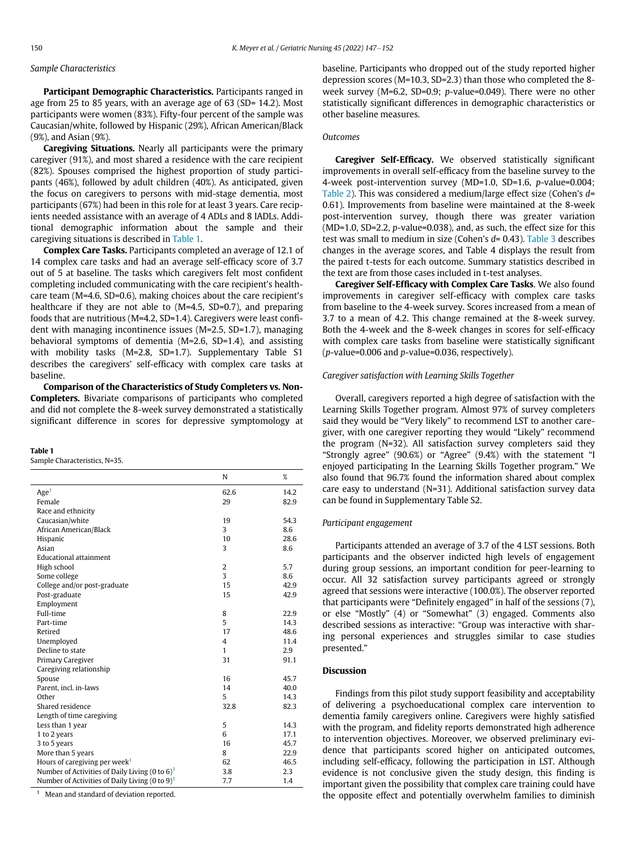# Sample Characteristics

Participant Demographic Characteristics. Participants ranged in age from 25 to 85 years, with an average age of 63 (SD= 14.2). Most participants were women (83%). Fifty-four percent of the sample was Caucasian/white, followed by Hispanic (29%), African American/Black (9%), and Asian (9%).

Caregiving Situations. Nearly all participants were the primary caregiver (91%), and most shared a residence with the care recipient (82%). Spouses comprised the highest proportion of study participants (46%), followed by adult children (40%). As anticipated, given the focus on caregivers to persons with mid-stage dementia, most participants (67%) had been in this role for at least 3 years. Care recipients needed assistance with an average of 4 ADLs and 8 IADLs. Additional demographic information about the sample and their caregiving situations is described in [Table 1.](#page-3-0)

Complex Care Tasks. Participants completed an average of 12.1 of 14 complex care tasks and had an average self-efficacy score of 3.7 out of 5 at baseline. The tasks which caregivers felt most confident completing included communicating with the care recipient's healthcare team (M=4.6, SD=0.6), making choices about the care recipient's healthcare if they are not able to (M=4.5, SD=0.7), and preparing foods that are nutritious (M=4.2, SD=1.4). Caregivers were least confident with managing incontinence issues (M=2.5, SD=1.7), managing behavioral symptoms of dementia (M=2.6, SD=1.4), and assisting with mobility tasks (M=2.8, SD=1.7). Supplementary Table S1 describes the caregivers' self-efficacy with complex care tasks at baseline.

Comparison of the Characteristics of Study Completers vs. Non-Completers. Bivariate comparisons of participants who completed and did not complete the 8-week survey demonstrated a statistically significant difference in scores for depressive symptomology at

## <span id="page-3-0"></span>Table 1

Sample Characteristics, N=35.

|                                                            | N              | %    |
|------------------------------------------------------------|----------------|------|
| Age <sup>1</sup>                                           | 62.6           | 14.2 |
| Female                                                     | 29             | 82.9 |
| Race and ethnicity                                         |                |      |
| Caucasian/white                                            | 19             | 54.3 |
| African American/Black                                     | 3              | 8.6  |
| Hispanic                                                   | 10             | 28.6 |
| Asian                                                      | 3              | 8.6  |
| <b>Educational attainment</b>                              |                |      |
| High school                                                | $\overline{2}$ | 5.7  |
| Some college                                               | 3              | 8.6  |
| College and/or post-graduate                               | 15             | 42.9 |
| Post-graduate                                              | 15             | 42.9 |
| Employment                                                 |                |      |
| Full-time                                                  | 8              | 22.9 |
| Part-time                                                  | 5              | 14.3 |
| Retired                                                    | 17             | 48.6 |
| Unemployed                                                 | $\overline{4}$ | 11.4 |
| Decline to state                                           | $\mathbf{1}$   | 2.9  |
| Primary Caregiver                                          | 31             | 91.1 |
| Caregiving relationship                                    |                |      |
| Spouse                                                     | 16             | 45.7 |
| Parent, incl. in-laws                                      | 14             | 40.0 |
| Other                                                      | 5              | 14.3 |
| Shared residence                                           | 32.8           | 82.3 |
| Length of time caregiving                                  |                |      |
| Less than 1 year                                           | 5              | 14.3 |
| 1 to 2 years                                               | 6              | 17.1 |
| 3 to 5 years                                               | 16             | 45.7 |
| More than 5 years                                          | 8              | 22.9 |
| Hours of caregiving per week <sup>1</sup>                  | 62             | 46.5 |
| Number of Activities of Daily Living $(0 \text{ to } 6)^1$ | 3.8            | 2.3  |
| Number of Activities of Daily Living (0 to 9) <sup>1</sup> | 7.7            | 1.4  |

<span id="page-3-1"></span>Mean and standard of deviation reported.

baseline. Participants who dropped out of the study reported higher depression scores (M=10.3, SD=2.3) than those who completed the 8 week survey (M=6.2, SD=0.9; p-value=0.049). There were no other statistically significant differences in demographic characteristics or other baseline measures.

## **Outcomes**

Caregiver Self-Efficacy. We observed statistically significant improvements in overall self-efficacy from the baseline survey to the 4-week post-intervention survey (MD=1.0, SD=1.6, p-value=0.004; [Table 2\)](#page-4-0). This was considered a medium/large effect size (Cohen's  $d=$ 0.61). Improvements from baseline were maintained at the 8-week post-intervention survey, though there was greater variation (MD=1.0, SD=2.2, p-value=0.038), and, as such, the effect size for this test was small to medium in size (Cohen's  $d= 0.43$ ). [Table 3](#page-4-1) describes changes in the average scores, and Table 4 displays the result from the paired t-tests for each outcome. Summary statistics described in the text are from those cases included in t-test analyses.

Caregiver Self-Efficacy with Complex Care Tasks. We also found improvements in caregiver self-efficacy with complex care tasks from baseline to the 4-week survey. Scores increased from a mean of 3.7 to a mean of 4.2. This change remained at the 8-week survey. Both the 4-week and the 8-week changes in scores for self-efficacy with complex care tasks from baseline were statistically significant  $(p$ -value=0.006 and  $p$ -value=0.036, respectively).

## Caregiver satisfaction with Learning Skills Together

Overall, caregivers reported a high degree of satisfaction with the Learning Skills Together program. Almost 97% of survey completers said they would be "Very likely" to recommend LST to another caregiver, with one caregiver reporting they would "Likely" recommend the program (N=32). All satisfaction survey completers said they "Strongly agree" (90.6%) or "Agree" (9.4%) with the statement "I enjoyed participating In the Learning Skills Together program." We also found that 96.7% found the information shared about complex care easy to understand (N=31). Additional satisfaction survey data can be found in Supplementary Table S2.

## Participant engagement

Participants attended an average of 3.7 of the 4 LST sessions. Both participants and the observer indicted high levels of engagement during group sessions, an important condition for peer-learning to occur. All 32 satisfaction survey participants agreed or strongly agreed that sessions were interactive (100.0%). The observer reported that participants were "Definitely engaged" in half of the sessions (7), or else "Mostly" (4) or "Somewhat" (3) engaged. Comments also described sessions as interactive: "Group was interactive with sharing personal experiences and struggles similar to case studies presented."

# Discussion

Findings from this pilot study support feasibility and acceptability of delivering a psychoeducational complex care intervention to dementia family caregivers online. Caregivers were highly satisfied with the program, and fidelity reports demonstrated high adherence to intervention objectives. Moreover, we observed preliminary evidence that participants scored higher on anticipated outcomes, including self-efficacy, following the participation in LST. Although evidence is not conclusive given the study design, this finding is important given the possibility that complex care training could have the opposite effect and potentially overwhelm families to diminish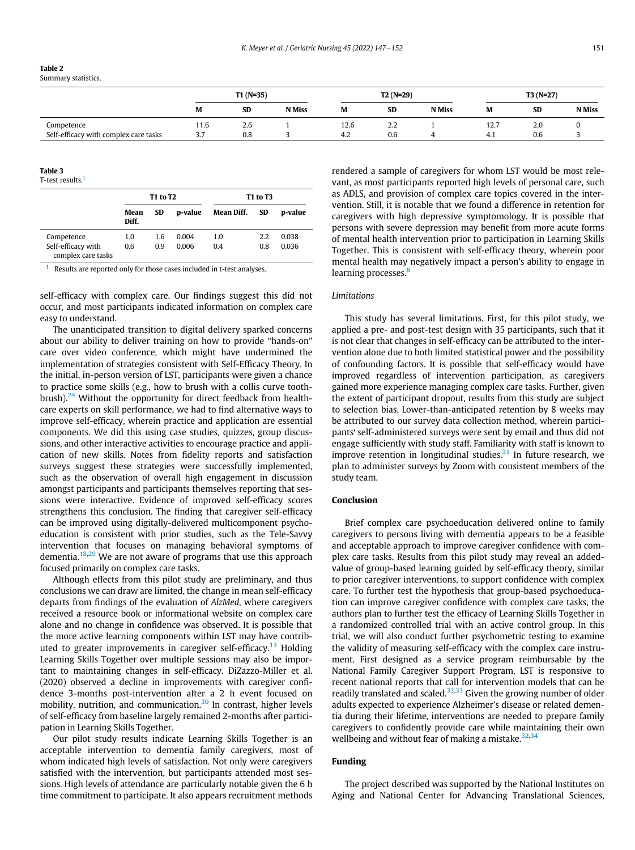<span id="page-4-0"></span>

| <b>Table 2</b>      |
|---------------------|
| Summary statistics. |

|                                       | $T1(N=35)$ |           | $T2(N=29)$    |      |           | $T3(N=27)$    |      |           |               |
|---------------------------------------|------------|-----------|---------------|------|-----------|---------------|------|-----------|---------------|
|                                       | M          | <b>SD</b> | <b>N</b> Miss | M    | <b>SD</b> | <b>N</b> Miss | M    | <b>SD</b> | <b>N</b> Miss |
| Competence                            | 11.6       | 2.6       |               | 12.6 | 2.2       |               | 12.7 | 2.0       |               |
| Self-efficacy with complex care tasks | ، ب        | 0.8       |               | 4.2  | 0.6       |               | 4.1  | 0.6       |               |

## <span id="page-4-1"></span>Table 3

T-test results.<sup>[1](#page-4-2)</sup>

|                                          | <b>T1 to T2</b> |           |         | <b>T1 to T3</b> |           |         |
|------------------------------------------|-----------------|-----------|---------|-----------------|-----------|---------|
|                                          | Mean<br>Diff.   | <b>SD</b> | p-value | Mean Diff.      | <b>SD</b> | p-value |
| Competence                               | 1.0             | 1.6       | 0.004   | 1.0             | 2.2       | 0.038   |
| Self-efficacy with<br>complex care tasks | 0.6             | 0.9       | 0.006   | 0.4             | 0.8       | 0.036   |

<span id="page-4-2"></span>Results are reported only for those cases included in t-test analyses.

self-efficacy with complex care. Our findings suggest this did not occur, and most participants indicated information on complex care easy to understand.

The unanticipated transition to digital delivery sparked concerns about our ability to deliver training on how to provide "hands-on" care over video conference, which might have undermined the implementation of strategies consistent with Self-Efficacy Theory. In the initial, in-person version of LST, participants were given a chance to practice some skills (e.g., how to brush with a collis curve toothbrush). $24$  Without the opportunity for direct feedback from healthcare experts on skill performance, we had to find alternative ways to improve self-efficacy, wherein practice and application are essential components. We did this using case studies, quizzes, group discussions, and other interactive activities to encourage practice and application of new skills. Notes from fidelity reports and satisfaction surveys suggest these strategies were successfully implemented, such as the observation of overall high engagement in discussion amongst participants and participants themselves reporting that sessions were interactive. Evidence of improved self-efficacy scores strengthens this conclusion. The finding that caregiver self-efficacy can be improved using digitally-delivered multicomponent psychoeducation is consistent with prior studies, such as the Tele-Savvy intervention that focuses on managing behavioral symptoms of dementia.[18](#page-5-17)[,29](#page-5-28) We are not aware of programs that use this approach focused primarily on complex care tasks.

Although effects from this pilot study are preliminary, and thus conclusions we can draw are limited, the change in mean self-efficacy departs from findings of the evaluation of AlzMed, where caregivers received a resource book or informational website on complex care alone and no change in confidence was observed. It is possible that the more active learning components within LST may have contrib-uted to greater improvements in caregiver self-efficacy.<sup>[13](#page-5-12)</sup> Holding Learning Skills Together over multiple sessions may also be important to maintaining changes in self-efficacy. DiZazzo-Miller et al. (2020) observed a decline in improvements with caregiver confidence 3-months post-intervention after a 2 h event focused on mobility, nutrition, and communication.<sup>[30](#page-5-29)</sup> In contrast, higher levels of self-efficacy from baseline largely remained 2-months after participation in Learning Skills Together.

Our pilot study results indicate Learning Skills Together is an acceptable intervention to dementia family caregivers, most of whom indicated high levels of satisfaction. Not only were caregivers satisfied with the intervention, but participants attended most sessions. High levels of attendance are particularly notable given the 6 h time commitment to participate. It also appears recruitment methods rendered a sample of caregivers for whom LST would be most relevant, as most participants reported high levels of personal care, such as ADLS, and provision of complex care topics covered in the intervention. Still, it is notable that we found a difference in retention for caregivers with high depressive symptomology. It is possible that persons with severe depression may benefit from more acute forms of mental health intervention prior to participation in Learning Skills Together. This is consistent with self-efficacy theory, wherein poor mental health may negatively impact a person's ability to engage in learning processes.<sup>[8](#page-5-7)</sup>

## **Limitations**

This study has several limitations. First, for this pilot study, we applied a pre- and post-test design with 35 participants, such that it is not clear that changes in self-efficacy can be attributed to the intervention alone due to both limited statistical power and the possibility of confounding factors. It is possible that self-efficacy would have improved regardless of intervention participation, as caregivers gained more experience managing complex care tasks. Further, given the extent of participant dropout, results from this study are subject to selection bias. Lower-than-anticipated retention by 8 weeks may be attributed to our survey data collection method, wherein participants' self-administered surveys were sent by email and thus did not engage sufficiently with study staff. Familiarity with staff is known to improve retention in longitudinal studies. $31$  In future research, we plan to administer surveys by Zoom with consistent members of the study team.

# Conclusion

Brief complex care psychoeducation delivered online to family caregivers to persons living with dementia appears to be a feasible and acceptable approach to improve caregiver confidence with complex care tasks. Results from this pilot study may reveal an addedvalue of group-based learning guided by self-efficacy theory, similar to prior caregiver interventions, to support confidence with complex care. To further test the hypothesis that group-based psychoeducation can improve caregiver confidence with complex care tasks, the authors plan to further test the efficacy of Learning Skills Together in a randomized controlled trial with an active control group. In this trial, we will also conduct further psychometric testing to examine the validity of measuring self-efficacy with the complex care instrument. First designed as a service program reimbursable by the National Family Caregiver Support Program, LST is responsive to recent national reports that call for intervention models that can be readily translated and scaled. $32,33$  $32,33$  Given the growing number of older adults expected to experience Alzheimer's disease or related dementia during their lifetime, interventions are needed to prepare family caregivers to confidently provide care while maintaining their own wellbeing and without fear of making a mistake. $32,34$  $32,34$  $32,34$ 

# Funding

The project described was supported by the National Institutes on Aging and National Center for Advancing Translational Sciences,